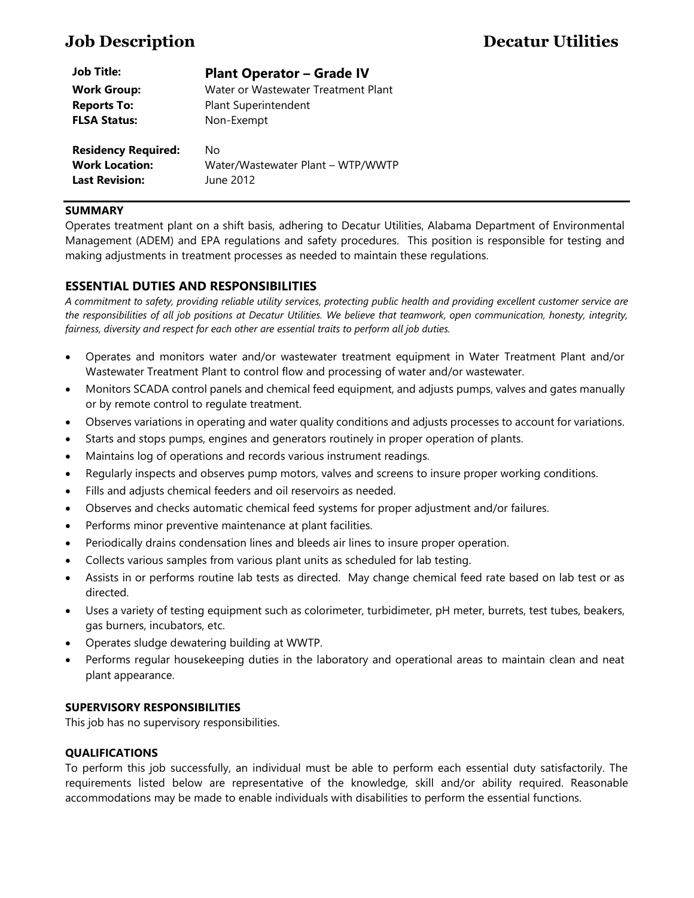| <b>Job Title:</b>                                                            | <b>Plant Operator - Grade IV</b>                     |
|------------------------------------------------------------------------------|------------------------------------------------------|
| <b>Work Group:</b>                                                           | Water or Wastewater Treatment Plant                  |
| <b>Reports To:</b>                                                           | Plant Superintendent                                 |
| <b>FLSA Status:</b>                                                          | Non-Exempt                                           |
| <b>Residency Required:</b><br><b>Work Location:</b><br><b>Last Revision:</b> | No<br>Water/Wastewater Plant - WTP/WWTP<br>June 2012 |

# **SUMMARY**

Operates treatment plant on a shift basis, adhering to Decatur Utilities, Alabama Department of Environmental Management (ADEM) and EPA regulations and safety procedures. This position is responsible for testing and making adjustments in treatment processes as needed to maintain these regulations.

# **ESSENTIAL DUTIES AND RESPONSIBILITIES**

*A commitment to safety, providing reliable utility services, protecting public health and providing excellent customer service are the responsibilities of all job positions at Decatur Utilities. We believe that teamwork, open communication, honesty, integrity, fairness, diversity and respect for each other are essential traits to perform all job duties.*

- Operates and monitors water and/or wastewater treatment equipment in Water Treatment Plant and/or Wastewater Treatment Plant to control flow and processing of water and/or wastewater.
- Monitors SCADA control panels and chemical feed equipment, and adjusts pumps, valves and gates manually or by remote control to regulate treatment.
- Observes variations in operating and water quality conditions and adjusts processes to account for variations.
- Starts and stops pumps, engines and generators routinely in proper operation of plants.
- Maintains log of operations and records various instrument readings.
- Regularly inspects and observes pump motors, valves and screens to insure proper working conditions.
- Fills and adjusts chemical feeders and oil reservoirs as needed.
- Observes and checks automatic chemical feed systems for proper adjustment and/or failures.
- Performs minor preventive maintenance at plant facilities.
- Periodically drains condensation lines and bleeds air lines to insure proper operation.
- Collects various samples from various plant units as scheduled for lab testing.
- Assists in or performs routine lab tests as directed. May change chemical feed rate based on lab test or as directed.
- Uses a variety of testing equipment such as colorimeter, turbidimeter, pH meter, burrets, test tubes, beakers, gas burners, incubators, etc.
- Operates sludge dewatering building at WWTP.
- Performs regular housekeeping duties in the laboratory and operational areas to maintain clean and neat plant appearance.

## **SUPERVISORY RESPONSIBILITIES**

This job has no supervisory responsibilities.

## **QUALIFICATIONS**

To perform this job successfully, an individual must be able to perform each essential duty satisfactorily. The requirements listed below are representative of the knowledge, skill and/or ability required. Reasonable accommodations may be made to enable individuals with disabilities to perform the essential functions.